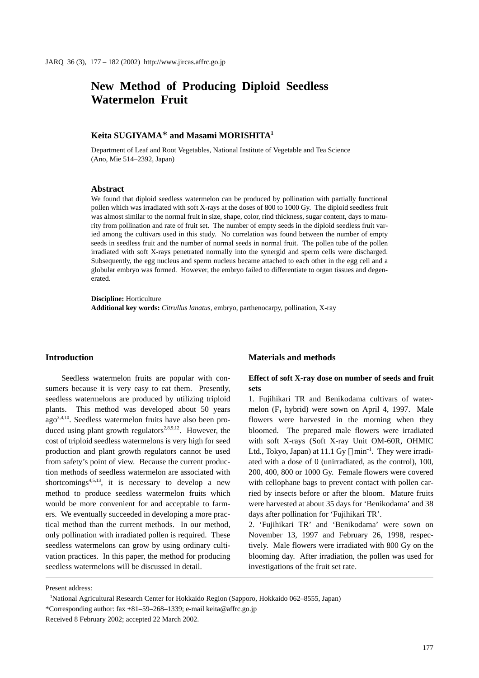# **New Method of Producing Diploid Seedless Watermelon Fruit**

## **Keita SUGIYAMA**\* **and Masami MORISHITA1**

Department of Leaf and Root Vegetables, National Institute of Vegetable and Tea Science (Ano, Mie 514–2392, Japan)

#### **Abstract**

We found that diploid seedless watermelon can be produced by pollination with partially functional pollen which was irradiated with soft X-rays at the doses of 800 to 1000 Gy. The diploid seedless fruit was almost similar to the normal fruit in size, shape, color, rind thickness, sugar content, days to maturity from pollination and rate of fruit set. The number of empty seeds in the diploid seedless fruit varied among the cultivars used in this study. No correlation was found between the number of empty seeds in seedless fruit and the number of normal seeds in normal fruit. The pollen tube of the pollen irradiated with soft X-rays penetrated normally into the synergid and sperm cells were discharged. Subsequently, the egg nucleus and sperm nucleus became attached to each other in the egg cell and a globular embryo was formed. However, the embryo failed to differentiate to organ tissues and degenerated.

**Discipline:** Horticulture **Additional key words:** *Citrullus lanatus,* embryo, parthenocarpy, pollination, X-ray

#### **Introduction**

Seedless watermelon fruits are popular with consumers because it is very easy to eat them. Presently, seedless watermelons are produced by utilizing triploid plants. This method was developed about 50 years ago3,4,10. Seedless watermelon fruits have also been produced using plant growth regulators<sup>2,8,9,12</sup>. However, the cost of triploid seedless watermelons is very high for seed production and plant growth regulators cannot be used from safety's point of view. Because the current production methods of seedless watermelon are associated with shortcomings<sup>4,5,13</sup>, it is necessary to develop a new method to produce seedless watermelon fruits which would be more convenient for and acceptable to farmers. We eventually succeeded in developing a more practical method than the current methods. In our method, only pollination with irradiated pollen is required. These seedless watermelons can grow by using ordinary cultivation practices. In this paper, the method for producing seedless watermelons will be discussed in detail.

#### **Materials and methods**

## **Effect of soft X-ray dose on number of seeds and fruit sets**

1. Fujihikari TR and Benikodama cultivars of watermelon  $(F_1$  hybrid) were sown on April 4, 1997. Male flowers were harvested in the morning when they bloomed. The prepared male flowers were irradiated with soft X-rays (Soft X-ray Unit OM-60R, OHMIC Ltd., Tokyo, Japan) at  $11.1 \text{ Gy } \text{min}^{-1}$ . They were irradiated with a dose of 0 (unirradiated, as the control), 100, 200, 400, 800 or 1000 Gy. Female flowers were covered with cellophane bags to prevent contact with pollen carried by insects before or after the bloom. Mature fruits were harvested at about 35 days for 'Benikodama' and 38 days after pollination for 'Fujihikari TR'.

2. 'Fujihikari TR' and 'Benikodama' were sown on November 13, 1997 and February 26, 1998, respectively. Male flowers were irradiated with 800 Gy on the blooming day. After irradiation, the pollen was used for investigations of the fruit set rate.

Present address:

<sup>1</sup> National Agricultural Research Center for Hokkaido Region (Sapporo, Hokkaido 062–8555, Japan)

<sup>\*</sup>Corresponding author: fax +81–59–268–1339; e-mail keita@affrc.go.jp

Received 8 February 2002; accepted 22 March 2002.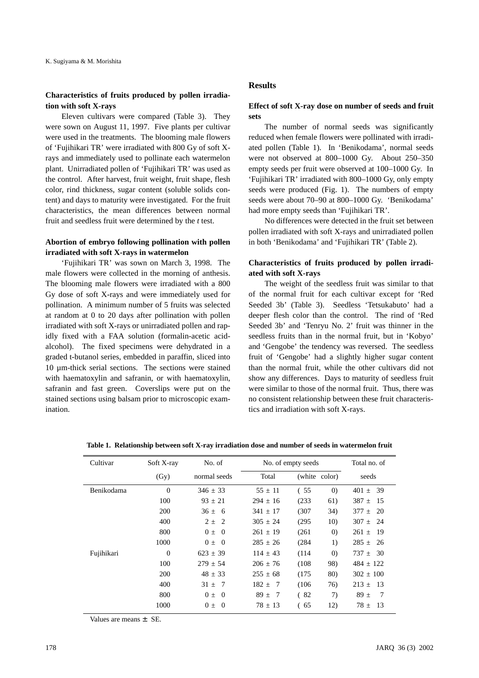## **Characteristics of fruits produced by pollen irradiation with soft X-rays**

Eleven cultivars were compared (Table 3). They were sown on August 11, 1997. Five plants per cultivar were used in the treatments. The blooming male flowers of 'Fujihikari TR' were irradiated with 800 Gy of soft Xrays and immediately used to pollinate each watermelon plant. Unirradiated pollen of 'Fujihikari TR' was used as the control. After harvest, fruit weight, fruit shape, flesh color, rind thickness, sugar content (soluble solids content) and days to maturity were investigated. For the fruit characteristics, the mean differences between normal fruit and seedless fruit were determined by the *t* test.

### **Abortion of embryo following pollination with pollen irradiated with soft X-rays in watermelon**

'Fujihikari TR' was sown on March 3, 1998. The male flowers were collected in the morning of anthesis. The blooming male flowers were irradiated with a 800 Gy dose of soft X-rays and were immediately used for pollination. A minimum number of 5 fruits was selected at random at 0 to 20 days after pollination with pollen irradiated with soft X-rays or unirradiated pollen and rapidly fixed with a FAA solution (formalin-acetic acidalcohol). The fixed specimens were dehydrated in a graded t-butanol series, embedded in paraffin, sliced into 10 µm-thick serial sections. The sections were stained with haematoxylin and safranin, or with haematoxylin, safranin and fast green. Coverslips were put on the stained sections using balsam prior to microscopic examination.

#### **Results**

## **Effect of soft X-ray dose on number of seeds and fruit sets**

The number of normal seeds was significantly reduced when female flowers were pollinated with irradiated pollen (Table 1). In 'Benikodama', normal seeds were not observed at 800–1000 Gy. About 250–350 empty seeds per fruit were observed at 100–1000 Gy. In 'Fujihikari TR' irradiated with 800–1000 Gy, only empty seeds were produced (Fig. 1). The numbers of empty seeds were about 70–90 at 800–1000 Gy. 'Benikodama' had more empty seeds than 'Fujihikari TR'.

No differences were detected in the fruit set between pollen irradiated with soft X-rays and unirradiated pollen in both 'Benikodama' and 'Fujihikari TR' (Table 2).

## **Characteristics of fruits produced by pollen irradiated with soft X-rays**

The weight of the seedless fruit was similar to that of the normal fruit for each cultivar except for 'Red Seeded 3b' (Table 3). Seedless 'Tetsukabuto' had a deeper flesh color than the control. The rind of 'Red Seeded 3b' and 'Tenryu No. 2' fruit was thinner in the seedless fruits than in the normal fruit, but in 'Kobyo' and 'Gengobe' the tendency was reversed. The seedless fruit of 'Gengobe' had a slightly higher sugar content than the normal fruit, while the other cultivars did not show any differences. Days to maturity of seedless fruit were similar to those of the normal fruit. Thus, there was no consistent relationship between these fruit characteristics and irradiation with soft X-rays.

| Cultivar   | Soft X-ray | No. of                    | No. of empty seeds |               | Total no. of      |                   |  |
|------------|------------|---------------------------|--------------------|---------------|-------------------|-------------------|--|
|            | (Gy)       | normal seeds              | Total              | (white color) |                   | seeds             |  |
| Benikodama | $\theta$   | $346 \pm 33$              | $55 \pm 11$        | (55           | (0)               | $401 \pm 39$      |  |
|            | 100        | $93 \pm 21$               | $294 \pm 16$       | (233)         | 61)               | $387 \pm$<br>- 15 |  |
|            | 200        | $36 \pm 6$                | $341 \pm 17$       | (307)         | 34)               | $377 \pm 20$      |  |
|            | 400        | $2 \pm 2$                 | $305 \pm 24$       | (295)         | 10)               | $307 \pm 24$      |  |
|            | 800        | $0 \pm 0$                 | $261 \pm 19$       | (261)         | $\left( 0\right)$ | $261 \pm$<br>- 19 |  |
|            | 1000       | $0 \pm 0$                 | $285 \pm 26$       | (284)         | 1)                | $285 \pm$<br>-26  |  |
| Fujihikari | $\theta$   | $623 \pm 39$              | $114 \pm 43$       | (114)         | (0)               | $737 \pm 30$      |  |
|            | 100        | $279 \pm 54$              | $206 \pm 76$       | (108)         | 98)               | $484 \pm 122$     |  |
|            | 200        | $48 \pm 33$               | $255 \pm 68$       | (175)         | 80)               | $302 \pm 100$     |  |
|            | 400        | $31 \pm 7$                | $182 \pm 7$        | (106)         | 76)               | $213 \pm 13$      |  |
|            | 800        | $0 \pm$<br>$\overline{0}$ | $89 \pm 7$         | (82)          | 7)                | $89 \pm$<br>-7    |  |
|            | 1000       | $0 \pm 0$                 | $78 \pm 13$        | (65           | 12)               | $78 \pm$<br>-13   |  |

**Table 1. Relationship between soft X-ray irradiation dose and number of seeds in watermelon fruit**

Values are means  $\pm$  SE.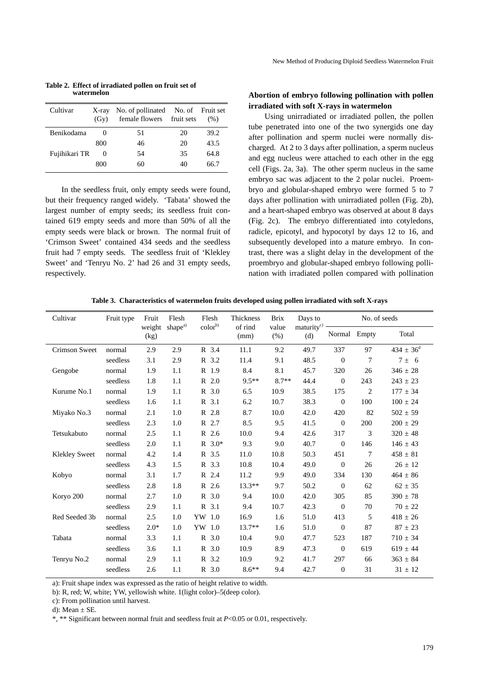| Cultivar      | $X$ -ray<br>(Gy) | No. of pollinated No. of Fruit set<br>female flowers fruit sets |    | (% ) |
|---------------|------------------|-----------------------------------------------------------------|----|------|
| Benikodama    |                  | 51                                                              | 20 | 39.2 |
|               | 800              | 46                                                              | 20 | 43.5 |
| Fujihikari TR | $\theta$         | 54                                                              | 35 | 64.8 |
|               | 800              | 60                                                              | 40 | 66.7 |

**Table 2. Effect of irradiated pollen on fruit set of watermelon**

In the seedless fruit, only empty seeds were found, but their frequency ranged widely. 'Tabata' showed the largest number of empty seeds; its seedless fruit contained 619 empty seeds and more than 50% of all the empty seeds were black or brown. The normal fruit of 'Crimson Sweet' contained 434 seeds and the seedless fruit had 7 empty seeds. The seedless fruit of 'Klekley Sweet' and 'Tenryu No. 2' had 26 and 31 empty seeds, respectively.

### **Abortion of embryo following pollination with pollen irradiated with soft X-rays in watermelon**

Using unirradiated or irradiated pollen, the pollen tube penetrated into one of the two synergids one day after pollination and sperm nuclei were normally discharged. At 2 to 3 days after pollination, a sperm nucleus and egg nucleus were attached to each other in the egg cell (Figs. 2a, 3a). The other sperm nucleus in the same embryo sac was adjacent to the 2 polar nuclei. Proembryo and globular-shaped embryo were formed 5 to 7 days after pollination with unirradiated pollen (Fig. 2b), and a heart-shaped embryo was observed at about 8 days (Fig. 2c). The embryo differentiated into cotyledons, radicle, epicotyl, and hypocotyl by days 12 to 16, and subsequently developed into a mature embryo. In contrast, there was a slight delay in the development of the proembryo and globular-shaped embryo following pollination with irradiated pollen compared with pollination

| Table 3. Characteristics of watermelon fruits developed using pollen irradiated with soft X-rays |  |  |  |  |
|--------------------------------------------------------------------------------------------------|--|--|--|--|
|                                                                                                  |  |  |  |  |

| Cultivar             | Fruit type | Fruit          | Flesh               | Flesh               | Thickness       | <b>Brix</b>     | Days to            |                  | No. of seeds    |                      |
|----------------------|------------|----------------|---------------------|---------------------|-----------------|-----------------|--------------------|------------------|-----------------|----------------------|
|                      |            | weight<br>(kg) | shape <sup>a)</sup> | color <sup>b)</sup> | of rind<br>(mm) | value<br>$(\%)$ | $matrixc$ —<br>(d) | Normal           | Empty           | Total                |
| <b>Crimson Sweet</b> | normal     | 2.9            | 2.9                 | R 3.4               | 11.1            | 9.2             | 49.7               | 337              | 97              | $434 \pm 36^{\rm d}$ |
|                      | seedless   | 3.1            | 2.9                 | R 3.2               | 11.4            | 9.1             | 48.5               | $\mathbf{0}$     | 7               | $7 \pm 6$            |
| Gengobe              | normal     | 1.9            | 1.1                 | R 1.9               | 8.4             | 8.1             | 45.7               | 320              | 26              | $346 \pm 28$         |
|                      | seedless   | 1.8            | 1.1                 | R 2.0               | $9.5**$         | $8.7**$         | 44.4               | $\overline{0}$   | 243             | $243 \pm 23$         |
| Kurume No.1          | normal     | 1.9            | 1.1                 | R 3.0               | 6.5             | 10.9            | 38.5               | 175              | $\overline{2}$  | $177 \pm 34$         |
|                      | seedless   | 1.6            | 1.1                 | R 3.1               | 6.2             | 10.7            | 38.3               | $\overline{0}$   | 100             | $100\pm24$           |
| Miyako No.3          | normal     | 2.1            | 1.0                 | R 2.8               | 8.7             | 10.0            | 42.0               | 420              | 82              | $502 \pm 59$         |
|                      | seedless   | 2.3            | 1.0                 | R 2.7               | 8.5             | 9.5             | 41.5               | $\overline{0}$   | 200             | $200 \pm 29$         |
| Tetsukabuto          | normal     | 2.5            | 1.1                 | R 2.6               | 10.0            | 9.4             | 42.6               | 317              | 3               | $320 \pm 48$         |
|                      | seedless   | 2.0            | 1.1                 | $R \ 3.0*$          | 9.3             | 9.0             | 40.7               | $\overline{0}$   | 146             | $146 \pm 43$         |
| <b>Klekley Sweet</b> | normal     | 4.2            | 1.4                 | R 3.5               | 11.0            | 10.8            | 50.3               | 451              | $7\phantom{.0}$ | $458 \pm 81$         |
|                      | seedless   | 4.3            | 1.5                 | R 3.3               | 10.8            | 10.4            | 49.0               | $\boldsymbol{0}$ | 26              | $26 \pm 12$          |
| Kobyo                | normal     | 3.1            | 1.7                 | R 2.4               | 11.2            | 9.9             | 49.0               | 334              | 130             | $464 \pm 86$         |
|                      | seedless   | 2.8            | 1.8                 | R 2.6               | $13.3**$        | 9.7             | 50.2               | $\boldsymbol{0}$ | 62              | $62 \pm 35$          |
| Koryo 200            | normal     | 2.7            | 1.0                 | R 3.0               | 9.4             | 10.0            | 42.0               | 305              | 85              | $390 \pm 78$         |
|                      | seedless   | 2.9            | 1.1                 | R 3.1               | 9.4             | 10.7            | 42.3               | $\mathbf{0}$     | 70              | $70 \pm 22$          |
| Red Seeded 3b        | normal     | 2.5            | 1.0                 | YW 1.0              | 16.9            | 1.6             | 51.0               | 413              | 5               | $418 \pm 26$         |
|                      | seedless   | $2.0*$         | 1.0                 | YW 1.0              | $13.7**$        | 1.6             | 51.0               | $\mathbf{0}$     | 87              | $87\,\pm\,23$        |
| Tabata               | normal     | 3.3            | 1.1                 | R 3.0               | 10.4            | 9.0             | 47.7               | 523              | 187             | $710 \pm 34$         |
|                      | seedless   | 3.6            | 1.1                 | R 3.0               | 10.9            | 8.9             | 47.3               | $\mathbf{0}$     | 619             | $619 \pm 44$         |
| Tenryu No.2          | normal     | 2.9            | 1.1                 | R 3.2               | 10.9            | 9.2             | 41.7               | 297              | 66              | $363 \pm 84$         |
|                      | seedless   | 2.6            | 1.1                 | R 3.0               | $8.6**$         | 9.4             | 42.7               | $\mathbf{0}$     | 31              | $31 \pm 12$          |

a): Fruit shape index was expressed as the ratio of height relative to width.

b): R, red; W, white; YW, yellowish white. 1(light color)–5(deep color).

c): From pollination until harvest.

d): Mean  $\pm$  SE.

\*, \*\* Significant between normal fruit and seedless fruit at *P*<0.05 or 0.01, respectively.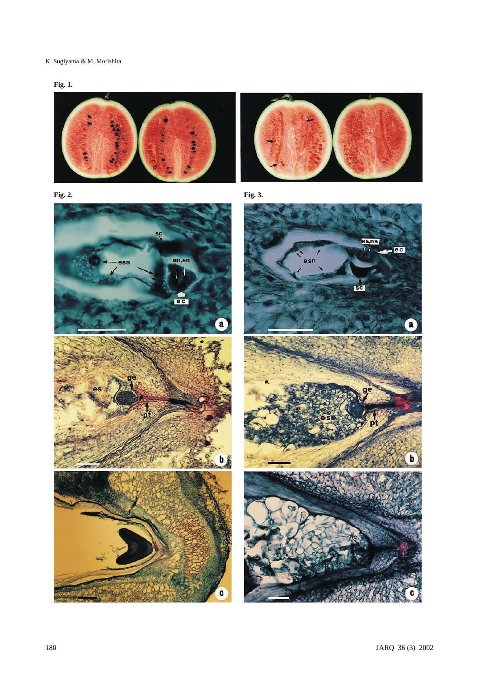## K. Sugiyama & M. Morishita













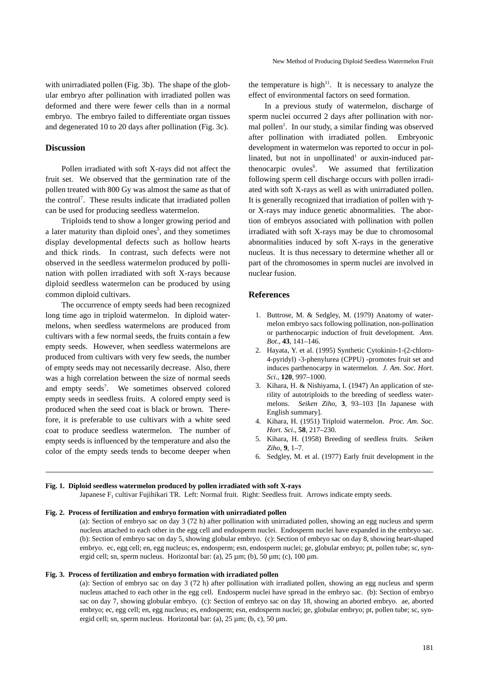with unirradiated pollen (Fig. 3b). The shape of the globular embryo after pollination with irradiated pollen was deformed and there were fewer cells than in a normal embryo. The embryo failed to differentiate organ tissues and degenerated 10 to 20 days after pollination (Fig. 3c).

#### **Discussion**

Pollen irradiated with soft X-rays did not affect the fruit set. We observed that the germination rate of the pollen treated with 800 Gy was almost the same as that of the control<sup>7</sup>. These results indicate that irradiated pollen can be used for producing seedless watermelon.

Triploids tend to show a longer growing period and a later maturity than diploid ones<sup>5</sup>, and they sometimes display developmental defects such as hollow hearts and thick rinds. In contrast, such defects were not observed in the seedless watermelon produced by pollination with pollen irradiated with soft X-rays because diploid seedless watermelon can be produced by using common diploid cultivars.

The occurrence of empty seeds had been recognized long time ago in triploid watermelon. In diploid watermelons, when seedless watermelons are produced from cultivars with a few normal seeds, the fruits contain a few empty seeds. However, when seedless watermelons are produced from cultivars with very few seeds, the number of empty seeds may not necessarily decrease. Also, there was a high correlation between the size of normal seeds and empty seeds<sup>7</sup>. . We sometimes observed colored empty seeds in seedless fruits. A colored empty seed is produced when the seed coat is black or brown. Therefore, it is preferable to use cultivars with a white seed coat to produce seedless watermelon. The number of empty seeds is influenced by the temperature and also the color of the empty seeds tends to become deeper when the temperature is high $11$ . It is necessary to analyze the effect of environmental factors on seed formation.

In a previous study of watermelon, discharge of sperm nuclei occurred 2 days after pollination with normal pollen<sup>1</sup>. In our study, a similar finding was observed after pollination with irradiated pollen. Embryonic development in watermelon was reported to occur in pollinated, but not in unpollinated<sup>1</sup> or auxin-induced parthenocarpic ovules<sup>6</sup>. . We assumed that fertilization following sperm cell discharge occurs with pollen irradiated with soft X-rays as well as with unirradiated pollen. It is generally recognized that irradiation of pollen with  $\gamma$ or X-rays may induce genetic abnormalities. The abortion of embryos associated with pollination with pollen irradiated with soft X-rays may be due to chromosomal abnormalities induced by soft X-rays in the generative nucleus. It is thus necessary to determine whether all or part of the chromosomes in sperm nuclei are involved in nuclear fusion.

### **References**

- 1. Buttrose, M. & Sedgley, M. (1979) Anatomy of watermelon embryo sacs following pollination, non-pollination or parthenocarpic induction of fruit development. *Ann. Bot*., **43**, 141–146.
- 2. Hayata, Y. et al. (1995) Synthetic Cytokinin-1-(2-chloro-4-pyridyl) -3-phenylurea (CPPU) -promotes fruit set and induces parthenocarpy in watermelon. *J. Am. Soc. Hort. Sci*., **120**, 997–1000.
- 3. Kihara, H. & Nishiyama, I. (1947) An application of sterility of autotriploids to the breeding of seedless watermelons. *Seiken Ziho*, **3**, 93–103 [In Japanese with English summary].
- 4. Kihara, H. (1951) Triploid watermelon. *Proc. Am. Soc. Hort. Sci*., **58**, 217–230.
- 5. Kihara, H. (1958) Breeding of seedless fruits. *Seiken Ziho*, **9**, 1–7.
- 6. Sedgley, M. et al. (1977) Early fruit development in the

#### **Fig. 1. Diploid seedless watermelon produced by pollen irradiated with soft X-rays**

Japanese  $F_1$  cultivar Fujihikari TR. Left: Normal fruit. Right: Seedless fruit. Arrows indicate empty seeds.

#### **Fig. 2. Process of fertilization and embryo formation with unirradiated pollen**

(a): Section of embryo sac on day 3 (72 h) after pollination with unirradiated pollen, showing an egg nucleus and sperm nucleus attached to each other in the egg cell and endosperm nuclei. Endosperm nuclei have expanded in the embryo sac. (b): Section of embryo sac on day 5, showing globular embryo. (c): Section of embryo sac on day 8, showing heart-shaped embryo. ec, egg cell; en, egg nucleus; es, endosperm; esn, endosperm nuclei; ge, globular embryo; pt, pollen tube; sc, synergid cell; sn, sperm nucleus. Horizontal bar: (a),  $25 \mu m$ ; (b),  $50 \mu m$ ; (c),  $100 \mu m$ .

#### **Fig. 3. Process of fertilization and embryo formation with irradiated pollen**

(a): Section of embryo sac on day 3 (72 h) after pollination with irradiated pollen, showing an egg nucleus and sperm nucleus attached to each other in the egg cell. Endosperm nuclei have spread in the embryo sac. (b): Section of embryo sac on day 7, showing globular embryo. (c): Section of embryo sac on day 18, showing an aborted embryo. ae, aborted embryo; ec, egg cell; en, egg nucleus; es, endosperm; esn, endosperm nuclei; ge, globular embryo; pt, pollen tube; sc, synergid cell; sn, sperm nucleus. Horizontal bar: (a),  $25 \mu m$ ; (b, c),  $50 \mu m$ .